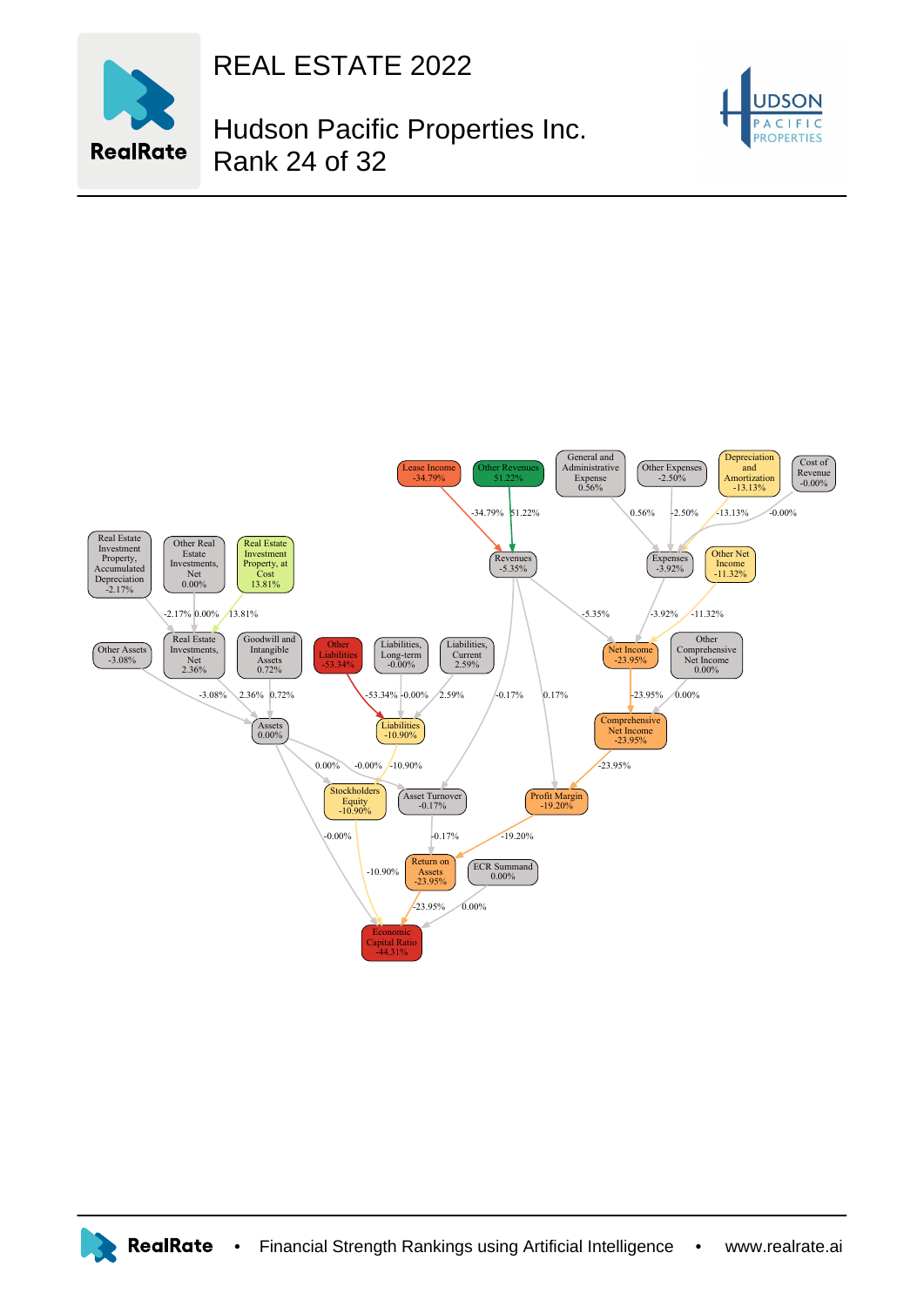

REAL ESTATE 2022

## Hudson Pacific Properties Inc. Rank 24 of 32